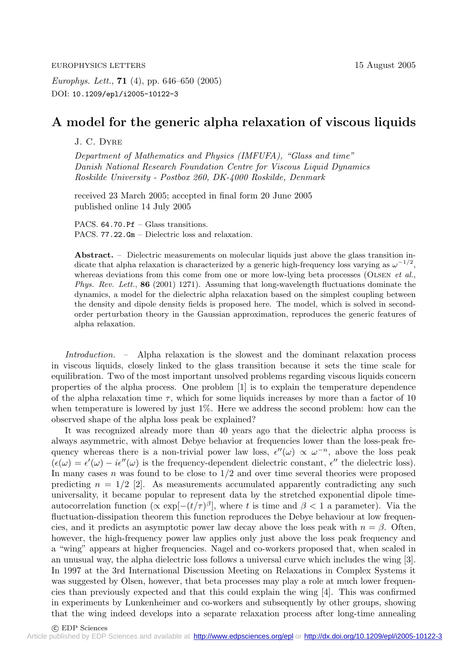EUROPHYSICS LETTERS 15 August 2005

*Europhys. Lett.*, **71** (4), pp. 646–650 (2005) DOI: 10.1209/epl/i2005-10122-3

## **A model for the generic alpha relaxation of viscous liquids**

J. C. Dyre

*Department of Mathematics and Physics (IMFUFA), "Glass and time" Danish National Research Foundation Centre for Viscous Liquid Dynamics Roskilde University - Postbox 260, DK-4000 Roskilde, Denmark*

received 23 March 2005; accepted in final form 20 June 2005 published online 14 July 2005

PACS. 64.70.Pf – Glass transitions. PACS. 77.22.Gm – Dielectric loss and relaxation.

Abstract. – Dielectric measurements on molecular liquids just above the glass transition indicate that alpha relaxation is characterized by a generic high-frequency loss varying as  $\omega^{-1/2}$ , whereas deviations from this come from one or more low-lying beta processes (OLSEN *et al.*, *Phys. Rev. Lett.*, **86** (2001) 1271). Assuming that long-wavelength fluctuations dominate the dynamics, a model for the dielectric alpha relaxation based on the simplest coupling between the density and dipole density fields is proposed here. The model, which is solved in secondorder perturbation theory in the Gaussian approximation, reproduces the generic features of alpha relaxation.

*Introduction. –* Alpha relaxation is the slowest and the dominant relaxation process in viscous liquids, closely linked to the glass transition because it sets the time scale for equilibration. Two of the most important unsolved problems regarding viscous liquids concern properties of the alpha process. One problem  $[1]$  is to explain the temperature dependence of the alpha relaxation time  $\tau$ , which for some liquids increases by more than a factor of 10 when temperature is lowered by just 1%. Here we address the second problem: how can the observed shape of the alpha loss peak be explained?

It was recognized already more than 40 years ago that the dielectric alpha process is always asymmetric, with almost Debye behavior at frequencies lower than the loss-peak frequency whereas there is a non-trivial power law loss,  $\epsilon''(\omega) \propto \omega^{-n}$ , above the loss peak  $(\epsilon(\omega) = \epsilon'(\omega) - i\epsilon''(\omega))$  is the frequency-dependent dielectric constant,  $\epsilon''$  the dielectric loss). In many cases  $n$  was found to be close to  $1/2$  and over time several theories were proposed predicting  $n = 1/2$  [2]. As measurements accumulated apparently contradicting any such universality, it became popular to represent data by the stretched exponential dipole timeautocorrelation function  $(\propto \exp[-(t/\tau)^{\beta}]$ , where t is time and  $\beta < 1$  a parameter). Via the fluctuation-dissipation theorem this function reproduces the Debye behaviour at low frequencies, and it predicts an asymptotic power law decay above the loss peak with  $n = \beta$ . Often, however, the high-frequency power law applies only just above the loss peak frequency and a "wing" appears at higher frequencies. Nagel and co-workers proposed that, when scaled in an unusual way, the alpha dielectric loss follows a universal curve which includes the wing [3]. In 1997 at the 3rd International Discussion Meeting on Relaxations in Complex Systems it was suggested by Olsen, however, that beta processes may play a role at much lower frequencies than previously expected and that this could explain the wing [4]. This was confirmed in experiments by Lunkenheimer and co-workers and subsequently by other groups, showing that the wing indeed develops into a separate relaxation process after long-time annealing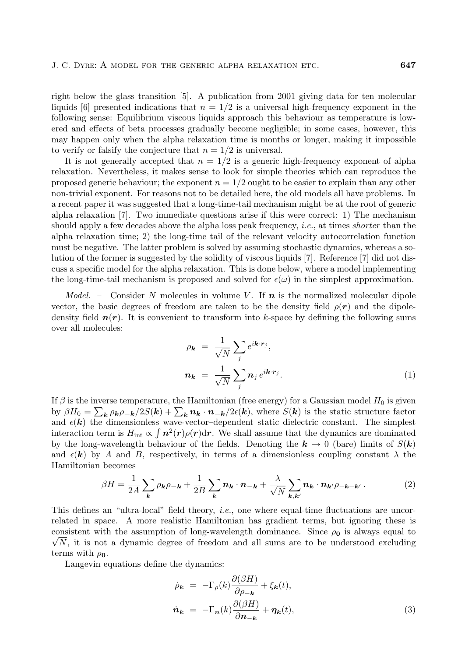right below the glass transition [5]. A publication from 2001 giving data for ten molecular liquids [6] presented indications that  $n = 1/2$  is a universal high-frequency exponent in the following sense: Equilibrium viscous liquids approach this behaviour as temperature is lowered and effects of beta processes gradually become negligible; in some cases, however, this may happen only when the alpha relaxation time is months or longer, making it impossible to verify or falsify the conjecture that  $n = 1/2$  is universal.

It is not generally accepted that  $n = 1/2$  is a generic high-frequency exponent of alpha relaxation. Nevertheless, it makes sense to look for simple theories which can reproduce the proposed generic behaviour; the exponent  $n = 1/2$  ought to be easier to explain than any other non-trivial exponent. For reasons not to be detailed here, the old models all have problems. In a recent paper it was suggested that a long-time-tail mechanism might be at the root ofgeneric alpha relaxation  $[7]$ . Two immediate questions arise if this were correct: 1) The mechanism should apply a few decades above the alpha loss peak frequency, *i.e.*, at times *shorter* than the alpha relaxation time; 2) the long-time tail of the relevant velocity autocorrelation function must be negative. The latter problem is solved by assuming stochastic dynamics, whereas a solution of the former is suggested by the solidity of viscous liquids  $[7]$ . Reference  $[7]$  did not discuss a specific model for the alpha relaxation. This is done below, where a model implementing the long-time-tail mechanism is proposed and solved for  $\epsilon(\omega)$  in the simplest approximation.

*Model.* – Consider N molecules in volume V. If  $n$  is the normalized molecular dipole vector, the basic degrees of freedom are taken to be the density field  $\rho(\mathbf{r})$  and the dipoledensity field  $n(r)$ . It is convenient to transform into k-space by defining the following sums over all molecules:

$$
\rho_{\mathbf{k}} = \frac{1}{\sqrt{N}} \sum_{j} e^{i\mathbf{k} \cdot \mathbf{r}_{j}},
$$

$$
\mathbf{n}_{\mathbf{k}} = \frac{1}{\sqrt{N}} \sum_{j} \mathbf{n}_{j} e^{i\mathbf{k} \cdot \mathbf{r}_{j}}.
$$
(1)

If  $\beta$  is the inverse temperature, the Hamiltonian (free energy) for a Gaussian model  $H_0$  is given by  $\beta H_0 = \sum_{\mathbf{k}} \rho_{\mathbf{k}} \rho_{-\mathbf{k}} / 2S(\mathbf{k}) + \sum_{\mathbf{k}} n_{\mathbf{k}} \cdot \mathbf{n}_{-\mathbf{k}} / 2\epsilon(\mathbf{k})$ , where  $S(\mathbf{k})$  is the static structure factor and  $\epsilon(k)$  the dimensionless wave-vector-dependent static dielectric constant. The simplest interaction term is  $H_{\text{int}} \propto \int n^2(r)\rho(r)dr$ . We shall assume that the dynamics are dominated by the long-wavelength behaviour of the fields. Denoting the  $k \to 0$  (bare) limits of  $S(k)$ and  $\epsilon(\mathbf{k})$  by A and B, respectively, in terms of a dimensionless coupling constant  $\lambda$  the Hamiltonian becomes

$$
\beta H = \frac{1}{2A} \sum_{\mathbf{k}} \rho_{\mathbf{k}} \rho_{-\mathbf{k}} + \frac{1}{2B} \sum_{\mathbf{k}} \mathbf{n}_{\mathbf{k}} \cdot \mathbf{n}_{-\mathbf{k}} + \frac{\lambda}{\sqrt{N}} \sum_{\mathbf{k}, \mathbf{k'}} \mathbf{n}_{\mathbf{k}} \cdot \mathbf{n}_{\mathbf{k'}} \rho_{-\mathbf{k}-\mathbf{k'}}.
$$
 (2)

This defines an "ultra-local" field theory, *i.e.*, one where equal-time fluctuations are uncorrelated in space. A more realistic Hamiltonian has gradient terms, but ignoring these is  $\sqrt{N}$ , it is not a dynamic degree of freedom and all sums are to be understood excluding consistent with the assumption of long-wavelength dominance. Since  $\rho_0$  is always equal to terms with  $\rho_0$ .

Langevin equations define the dynamics:

$$
\dot{\rho}_{\mathbf{k}} = -\Gamma_{\rho}(k)\frac{\partial(\beta H)}{\partial \rho_{-\mathbf{k}}} + \xi_{\mathbf{k}}(t),
$$
  

$$
\dot{\mathbf{n}}_{\mathbf{k}} = -\Gamma_{\mathbf{n}}(k)\frac{\partial(\beta H)}{\partial \mathbf{n}_{-\mathbf{k}}} + \eta_{\mathbf{k}}(t),
$$
 (3)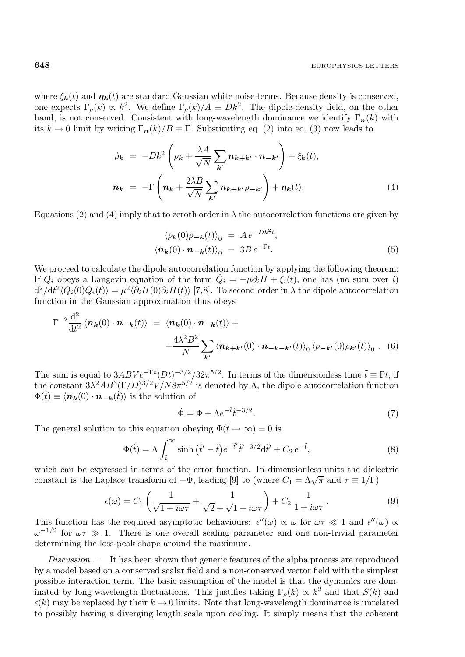where  $\xi_k(t)$  and  $\eta_k(t)$  are standard Gaussian white noise terms. Because density is conserved, one expects  $\Gamma_{\rho}(k) \propto k^2$ . We define  $\Gamma_{\rho}(k)/A \equiv Dk^2$ . The dipole-density field, on the other hand, is not conserved. Consistent with long-wavelength dominance we identify  $\Gamma_n(k)$  with its  $k \to 0$  limit by writing  $\Gamma_n(k)/B \equiv \Gamma$ . Substituting eq. (2) into eq. (3) now leads to

$$
\dot{\rho}_{\mathbf{k}} = -Dk^2 \left( \rho_{\mathbf{k}} + \frac{\lambda A}{\sqrt{N}} \sum_{\mathbf{k}'} n_{\mathbf{k} + \mathbf{k}'} \cdot n_{-\mathbf{k}'} \right) + \xi_{\mathbf{k}}(t),
$$
\n
$$
\dot{n}_{\mathbf{k}} = -\Gamma \left( n_{\mathbf{k}} + \frac{2\lambda B}{\sqrt{N}} \sum_{\mathbf{k}'} n_{\mathbf{k} + \mathbf{k}'} \rho_{-\mathbf{k}'} \right) + \eta_{\mathbf{k}}(t).
$$
\n(4)

Equations (2) and (4) imply that to zeroth order in  $\lambda$  the autocorrelation functions are given by

$$
\langle \rho_{\mathbf{k}}(0)\rho_{-\mathbf{k}}(t)\rangle_0 = A e^{-Dk^2t},
$$
  

$$
\langle \mathbf{n}_{\mathbf{k}}(0) \cdot \mathbf{n}_{-\mathbf{k}}(t)\rangle_0 = 3B e^{-\Gamma t}.
$$
 (5)

We proceed to calculate the dipole autocorrelation function by applying the following theorem: If  $Q_i$  obeys a Langevin equation of the form  $\dot{Q}_i = -\mu \partial_i H + \xi_i(t)$ , one has (no sum over i)  $d^2/dt^2 \langle Q_i(0)Q_i(t) \rangle = \mu^2 \langle \partial_i H(0) \partial_i H(t) \rangle$  [7,8]. To second order in  $\lambda$  the dipole autocorrelation function in the Gaussian approximation thus obeys

$$
\Gamma^{-2} \frac{\mathrm{d}^2}{\mathrm{d}t^2} \langle n_k(0) \cdot n_{-k}(t) \rangle = \langle n_k(0) \cdot n_{-k}(t) \rangle + \frac{4\lambda^2 B^2}{N} \sum_{\mathbf{k}'} \langle n_{\mathbf{k}+\mathbf{k}'}(0) \cdot n_{-\mathbf{k}-\mathbf{k}'}(t) \rangle_0 \langle \rho_{-\mathbf{k}'}(0) \rho_{\mathbf{k}'}(t) \rangle_0 . \quad (6)
$$

The sum is equal to  $3ABVe^{-\Gamma t}(Dt)^{-3/2}/32\pi^{5/2}$ . In terms of the dimensionless time  $\tilde{t} \equiv \Gamma t$ , if the constant  $3\lambda^2 AB^3(\Gamma/D)^{3/2}V/N8\pi^{5/2}$  is denoted by  $\Lambda$ , the dipole autocorrelation function  $\Phi(\tilde{t}) \equiv \langle n_{\mathbf{k}}(0) \cdot n_{-\mathbf{k}}(\tilde{t}) \rangle$  is the solution of

$$
\ddot{\Phi} = \Phi + \Lambda e^{-\tilde{t}} \tilde{t}^{-3/2}.
$$
\n<sup>(7)</sup>

The general solution to this equation obeying  $\Phi(\tilde{t} \to \infty) = 0$  is

$$
\Phi(\tilde{t}) = \Lambda \int_{\tilde{t}}^{\infty} \sinh\left(\tilde{t}' - \tilde{t}\right) e^{-\tilde{t}'}\tilde{t}'^{-3/2} d\tilde{t}' + C_2 e^{-\tilde{t}},\tag{8}
$$

which can be expressed in terms of the error function. In dimensionless units the dielectric constant is the Laplace transform of  $-\dot{\Phi}$ , leading [9] to (where  $C_1 = \Lambda \sqrt{\pi}$  and  $\tau \equiv 1/\Gamma$ )

$$
\epsilon(\omega) = C_1 \left( \frac{1}{\sqrt{1 + i\omega\tau}} + \frac{1}{\sqrt{2} + \sqrt{1 + i\omega\tau}} \right) + C_2 \frac{1}{1 + i\omega\tau}.
$$
\n(9)

This function has the required asymptotic behaviours:  $\epsilon''(\omega) \propto \omega$  for  $\omega \tau \ll 1$  and  $\epsilon''(\omega) \propto$  $ω^{-1/2}$  for  $ωτ$   $\gg$  1. There is one overall scaling parameter and one non-trivial parameter determining the loss-peak shape around the maximum.

*Discussion. –* It has been shown that generic features of the alpha process are reproduced by a model based on a conserved scalar field and a non-conserved vector field with the simplest possible interaction term. The basic assumption of the model is that the dynamics are dominated by long-wavelength fluctuations. This justifies taking  $\Gamma_{\rho}(k) \propto k^2$  and that  $S(k)$  and  $\epsilon(k)$  may be replaced by their  $k \to 0$  limits. Note that long-wavelength dominance is unrelated to possibly having a diverging length scale upon cooling. It simply means that the coherent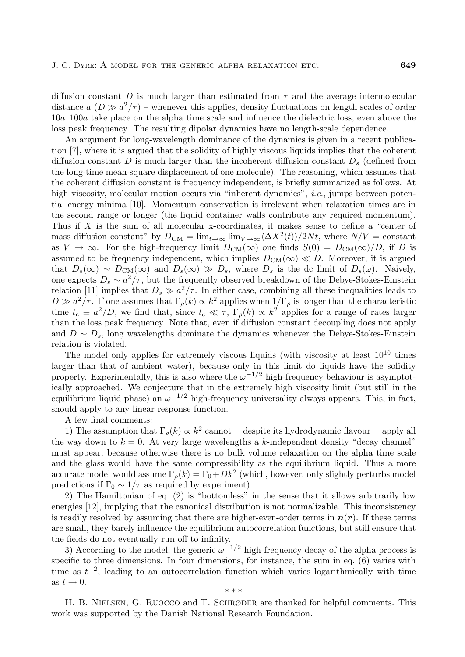diffusion constant D is much larger than estimated from  $\tau$  and the average intermolecular distance  $a(D \gg a^2/\tau)$  – whenever this applies, density fluctuations on length scales of order 10a–100a take place on the alpha time scale and influence the dielectric loss, even above the loss peak frequency. The resulting dipolar dynamics have no length-scale dependence.

An argument for long-wavelength dominance of the dynamics is given in a recent publication [7], where it is argued that the solidity of highly viscous liquids implies that the coherent diffusion constant D is much larger than the incoherent diffusion constant  $D<sub>s</sub>$  (defined from the long-time mean-square displacement of one molecule). The reasoning, which assumes that the coherent diffusion constant is frequency independent, is briefly summarized as follows. At high viscosity, molecular motion occurs via "inherent dynamics", *i.e.*, jumps between potential energy minima [10]. Momentum conservation is irrelevant when relaxation times are in the second range or longer (the liquid container walls contribute any required momentum). Thus if  $X$  is the sum of all molecular x-coordinates, it makes sense to define a "center of mass diffusion constant" by  $D_{\text{CM}} = \lim_{t \to \infty} \lim_{V \to \infty} \langle \Delta X^2(t) \rangle / 2Nt$ , where  $N/V = \text{constant}$ as  $V \to \infty$ . For the high-frequency limit  $D_{CM}(\infty)$  one finds  $S(0) = D_{CM}(\infty)/D$ , if D is assumed to be frequency independent, which implies  $D_{CM}(\infty) \ll D$ . Moreover, it is argued that  $D_s(\infty) \sim D_{\text{CM}}(\infty)$  and  $D_s(\infty) \gg D_s$ , where  $D_s$  is the dc limit of  $D_s(\omega)$ . Naively, one expects  $D_s \sim a^2/\tau$ , but the frequently observed breakdown of the Debye-Stokes-Einstein relation [11] implies that  $D_s \gg a^2/\tau$ . In either case, combining all these inequalities leads to  $D \gg a^2/\tau$ . If one assumes that  $\Gamma_\rho(k) \propto k^2$  applies when  $1/\Gamma_\rho$  is longer than the characteristic time  $t_c \equiv a^2/D$ , we find that, since  $t_c \ll \tau$ ,  $\Gamma_\rho(k) \propto k^2$  applies for a range of rates larger than the loss peak frequency. Note that, even if diffusion constant decoupling does not apply and  $D \sim D_s$ , long wavelengths dominate the dynamics whenever the Debye-Stokes-Einstein relation is violated.

The model only applies for extremely viscous liquids (with viscosity at least  $10^{10}$  times larger than that of ambient water), because only in this limit do liquids have the solidity property. Experimentally, this is also where the  $\omega^{-1/2}$  high-frequency behaviour is asymptotically approached. We conjecture that in the extremely high viscosity limit (but still in the equilibrium liquid phase) an  $\omega^{-1/2}$  high-frequency universality always appears. This, in fact, should apply to any linear response function.

A few final comments:

1) The assumption that  $\Gamma_{\rho}(k) \propto k^2$  cannot —despite its hydrodynamic flavour— apply all the way down to  $k = 0$ . At very large wavelengths a k-independent density "decay channel" must appear, because otherwise there is no bulk volume relaxation on the alpha time scale and the glass would have the same compressibility as the equilibrium liquid. Thus a more accurate model would assume  $\Gamma_{\rho}(k)=\Gamma_0+Dk^2$  (which, however, only slightly perturbs model predictions if  $\Gamma_0 \sim 1/\tau$  as required by experiment).

2) The Hamiltonian ofeq. (2) is "bottomless" in the sense that it allows arbitrarily low energies [12], implying that the canonical distribution is not normalizable. This inconsistency is readily resolved by assuming that there are higher-even-order terms in  $n(r)$ . If these terms are small, they barely influence the equilibrium autocorrelation functions, but still ensure that the fields do not eventually run off to infinity.

3) According to the model, the generic  $\omega^{-1/2}$  high-frequency decay of the alpha process is specific to three dimensions. In four dimensions, for instance, the sum in eq. (6) varies with time as  $t^{-2}$ , leading to an autocorrelation function which varies logarithmically with time as  $t \to 0$ . \*\*\*

H. B. Nielsen, G. Ruocco and T. Schrøder are thanked for helpful comments. This work was supported by the Danish National Research Foundation.